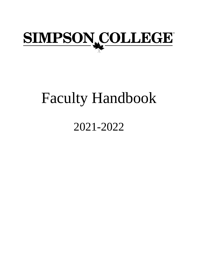

# Faculty Handbook

## 2021-2022